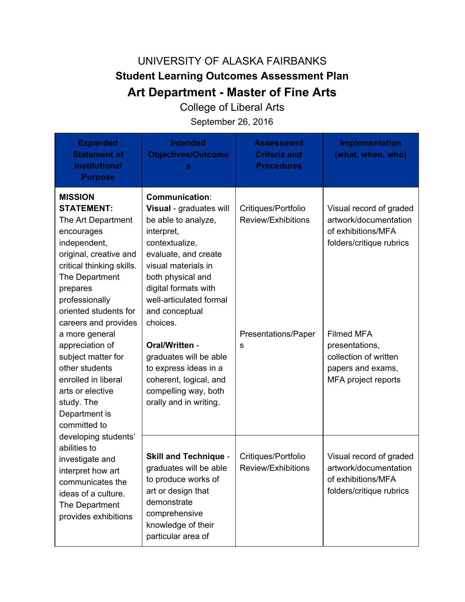## UNIVERSITY OF ALASKA FAIRBANKS **Student Learning Outcomes Assessment Plan Art Department - Master of Fine Arts**

College of Liberal Arts

September 26, 2016

| <b>Expanded</b><br><b>Statement of</b><br><b>Institutional</b><br><b>Purpose</b>                                                                                                                                                                                                                                                                                                                                                                                                                                                                                                            | <b>Intended</b><br><b>Objectives/Outcome</b>                                                                                                                                                                                                                                                                                                                                                                  | <b>Assessment</b><br><b>Criteria and</b><br><b>Procedures</b>         | <b>Implementation</b><br>(what, when, who)                                                                                                                                                                     |
|---------------------------------------------------------------------------------------------------------------------------------------------------------------------------------------------------------------------------------------------------------------------------------------------------------------------------------------------------------------------------------------------------------------------------------------------------------------------------------------------------------------------------------------------------------------------------------------------|---------------------------------------------------------------------------------------------------------------------------------------------------------------------------------------------------------------------------------------------------------------------------------------------------------------------------------------------------------------------------------------------------------------|-----------------------------------------------------------------------|----------------------------------------------------------------------------------------------------------------------------------------------------------------------------------------------------------------|
| <b>MISSION</b><br><b>STATEMENT:</b><br>The Art Department<br>encourages<br>independent,<br>original, creative and<br>critical thinking skills.<br>The Department<br>prepares<br>professionally<br>oriented students for<br>careers and provides<br>a more general<br>appreciation of<br>subject matter for<br>other students<br>enrolled in liberal<br>arts or elective<br>study. The<br>Department is<br>committed to<br>developing students'<br>abilities to<br>investigate and<br>interpret how art<br>communicates the<br>ideas of a culture.<br>The Department<br>provides exhibitions | <b>Communication:</b><br>Visual - graduates will<br>be able to analyze,<br>interpret,<br>contextualize,<br>evaluate, and create<br>visual materials in<br>both physical and<br>digital formats with<br>well-articulated formal<br>and conceptual<br>choices.<br>Oral/Written -<br>graduates will be able<br>to express ideas in a<br>coherent, logical, and<br>compelling way, both<br>orally and in writing. | Critiques/Portfolio<br>Review/Exhibitions<br>Presentations/Paper<br>S | Visual record of graded<br>artwork/documentation<br>of exhibitions/MFA<br>folders/critique rubrics<br><b>Filmed MFA</b><br>presentations,<br>collection of written<br>papers and exams,<br>MFA project reports |
|                                                                                                                                                                                                                                                                                                                                                                                                                                                                                                                                                                                             | <b>Skill and Technique -</b><br>graduates will be able<br>to produce works of<br>art or design that<br>demonstrate<br>comprehensive<br>knowledge of their<br>particular area of                                                                                                                                                                                                                               | Critiques/Portfolio<br>Review/Exhibitions                             | Visual record of graded<br>artwork/documentation<br>of exhibitions/MFA<br>folders/critique rubrics                                                                                                             |